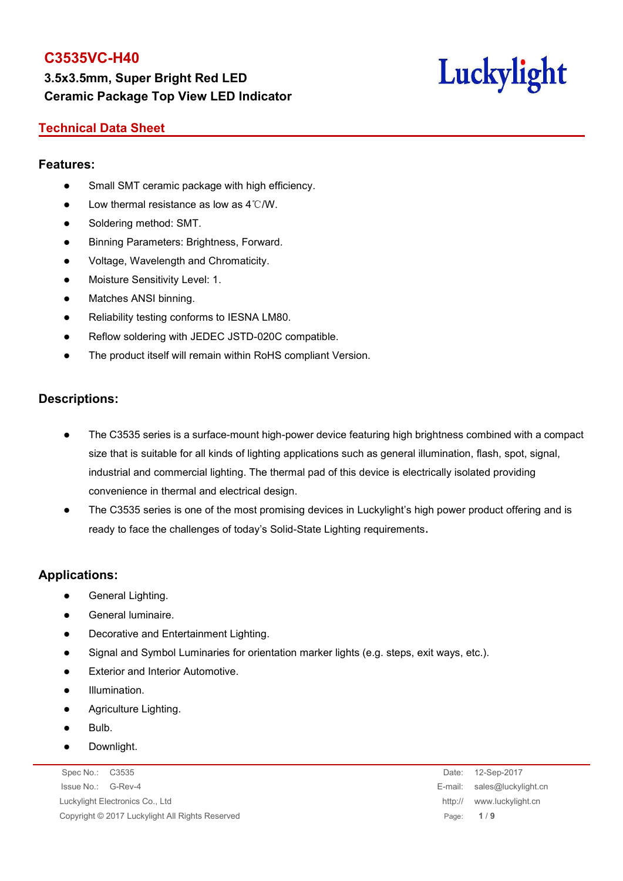**3.5x3.5mm, Super Bright Red LED Ceramic Package Top View LED Indicator**

# Luckylight

#### **Technical Data Sheet**

#### **Features:**

- Small SMT ceramic package with high efficiency.
- $\bullet$  Low thermal resistance as low as 4℃/W.
- Soldering method: SMT.
- Binning Parameters: Brightness, Forward.
- Voltage, Wavelength and Chromaticity.
- Moisture Sensitivity Level: 1.
- Matches ANSI binning.
- Reliability testing conforms to IESNA LM80.
- Reflow soldering with JEDEC JSTD-020C compatible.
- The product itself will remain within RoHS compliant Version.

#### **Descriptions:**

- The C3535 series is a surface-mount high-power device featuring high brightness combined with a compact size that is suitable for all kinds of lighting applications such as general illumination, flash, spot, signal, industrial and commercial lighting. The thermal pad of this device is electrically isolated providing convenience in thermal and electrical design.
- The C3535 series is one of the most promising devices in Luckylight's high power product offering and is ready to face the challenges of today's Solid-State Lighting requirements.

#### **Applications:**

- General Lighting.
- General luminaire.
- Decorative and Entertainment Lighting.
- Signal and Symbol Luminaries for orientation marker lights (e.g. steps, exit ways, etc.).
- Exterior and Interior Automotive.
- Illumination.
- Agriculture Lighting.
- Bulb.
- **•** Downlight.

Spec No.: C3535 Date: 12-Sep-2017 Issue No.: G-Rev-4 E-mail: sales@luckylight.cn Luckylight Electronics Co., Ltd http:// www.luckylight.cn Copyright © 2017 Luckylight All Rights Reserved Page: **1** / **9**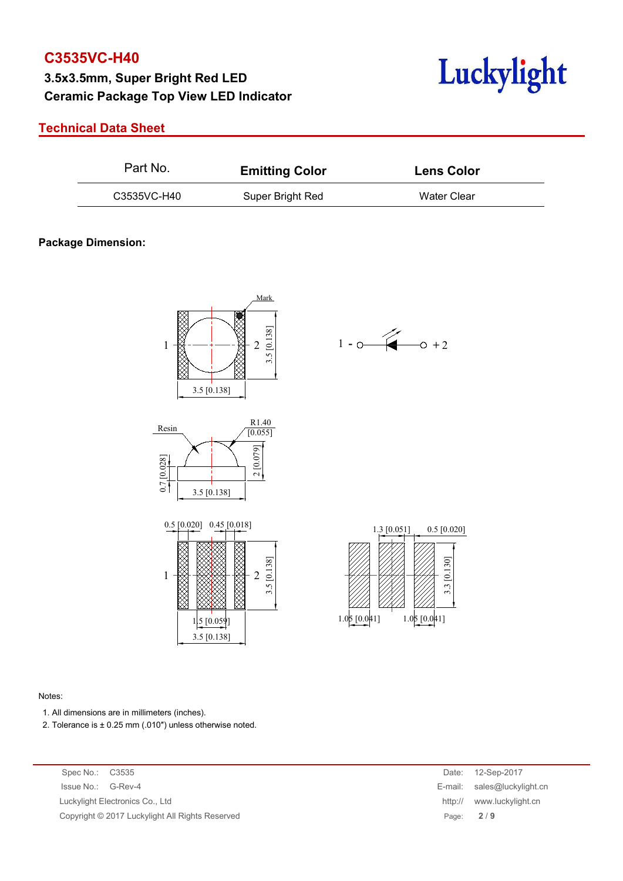## **3.5x3.5mm, Super Bright Red LED Ceramic Package Top View LED Indicator**



#### **Technical Data Sheet**

| C3535VC-H40<br>Water Clear<br>Super Bright Red | Part No. | <b>Emitting Color</b> | <b>Lens Color</b> |
|------------------------------------------------|----------|-----------------------|-------------------|
|                                                |          |                       |                   |

#### **Package Dimension:**











#### Notes:

- 1. All dimensions are in millimeters (inches).
- 2. Tolerance is  $\pm$  0.25 mm (.010") unless otherwise noted.

Spec No.: C3535 Issue No.: G-Rev-4 Luckylight Electronics Co., Ltd. Copyright © 2017 Luckylight All Rights Reserved

| Date:   | 12-Sep-2017         |
|---------|---------------------|
| E-mail: | sales@luckylight.cn |
| http:// | www.luckylight.cn   |
| Page:   | 2/9                 |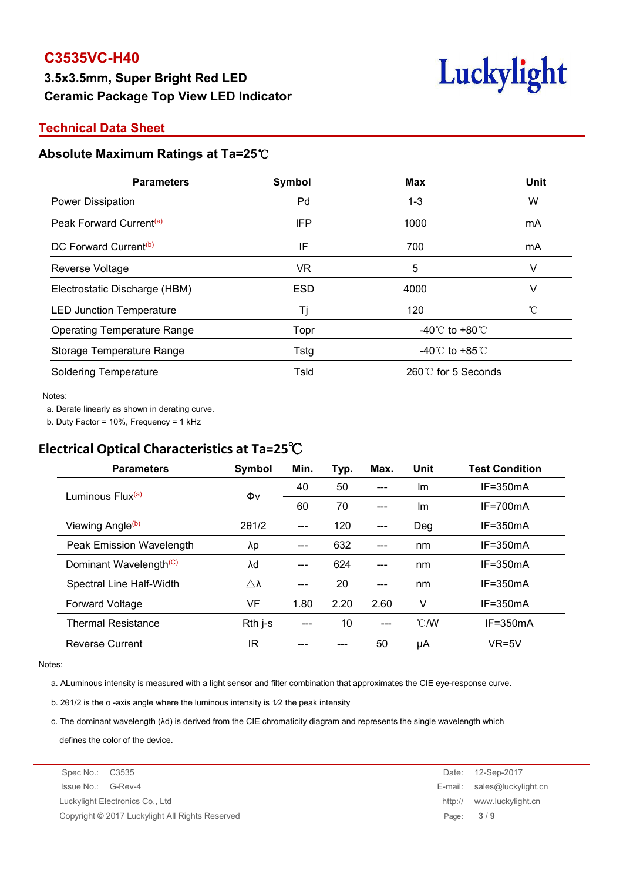# **3.5x3.5mm, Super Bright Red LED Ceramic Package Top View LED Indicator**



#### **Technical Data Sheet**

#### **Absolute Maximum Ratings at Ta=25**℃

| <b>Max</b><br>Symbol<br><b>Parameters</b>           | Unit                                 |  |
|-----------------------------------------------------|--------------------------------------|--|
| Pd<br>Power Dissipation<br>$1 - 3$                  | W                                    |  |
| Peak Forward Current <sup>(a)</sup><br>IFP<br>1000  | mA                                   |  |
| DC Forward Current <sup>(b)</sup><br>IF<br>700      | mA                                   |  |
| 5<br>VR<br>Reverse Voltage                          |                                      |  |
| Electrostatic Discharge (HBM)<br><b>ESD</b><br>4000 |                                      |  |
| 120<br><b>LED Junction Temperature</b>              |                                      |  |
| <b>Operating Temperature Range</b><br>Topr          | -40 $^{\circ}$ C to +80 $^{\circ}$ C |  |
| Storage Temperature Range<br>Tstg                   | -40 $\degree$ C to +85 $\degree$ C   |  |
| <b>Soldering Temperature</b><br>Tsld                | 260℃ for 5 Seconds                   |  |

#### Notes:

a. Derate linearly as shown in derating curve.

b. Duty Factor = 10%, Frequency = 1 kHz

## **Electrical Optical Characteristics at Ta=25**℃

| <b>Parameters</b>                  | Symbol              | Min.  | Typ. | Max.  | Unit          | <b>Test Condition</b> |
|------------------------------------|---------------------|-------|------|-------|---------------|-----------------------|
|                                    |                     | 40    | 50   | ---   | Im            | $IF = 350mA$          |
| Luminous Flux <sup>(a)</sup>       | Φv                  | 60    | 70   | ---   | Im            | $IF = 700mA$          |
| Viewing Angle <sup>(b)</sup>       | 201/2               | ---   | 120  | $---$ | Deg           | $IF = 350mA$          |
| Peak Emission Wavelength           | λp                  | ---   | 632  | ---   | nm            | $IF = 350mA$          |
| Dominant Wavelength <sup>(C)</sup> | λd                  | $---$ | 624  | $---$ | nm            | $IF = 350mA$          |
| Spectral Line Half-Width           | $\triangle \lambda$ | ---   | 20   | $---$ | nm            | $IF = 350mA$          |
| <b>Forward Voltage</b>             | VF                  | 1.80  | 2.20 | 2.60  | ٧             | $IF = 350mA$          |
| <b>Thermal Resistance</b>          | Rth j-s             | ---   | 10   | ---   | $\degree$ C/W | $IF = 350mA$          |
| <b>Reverse Current</b>             | ΙR                  |       |      | 50    | μA            | $VR=5V$               |

#### Notes:

a. ALuminous intensity is measured with a light sensor and filter combination that approximates the CIE eye-response curve.

b. 201/2 is the o-axis angle where the luminous intensity is  $1/2$  the peak intensity

c. The dominant wavelength (λd) is derived from the CIE chromaticity diagram and represents the single wavelength which defines the color of the device.

Spec No.: C3535 Date: 12-Sep-2017 Issue No.: G-Rev-4 E-mail: sales@luckylight.cn Luckylight Electronics Co., Ltd http:// www.luckylight.cn Copyright © 2017 Luckylight All Rights Reserved Page: **3** / **9**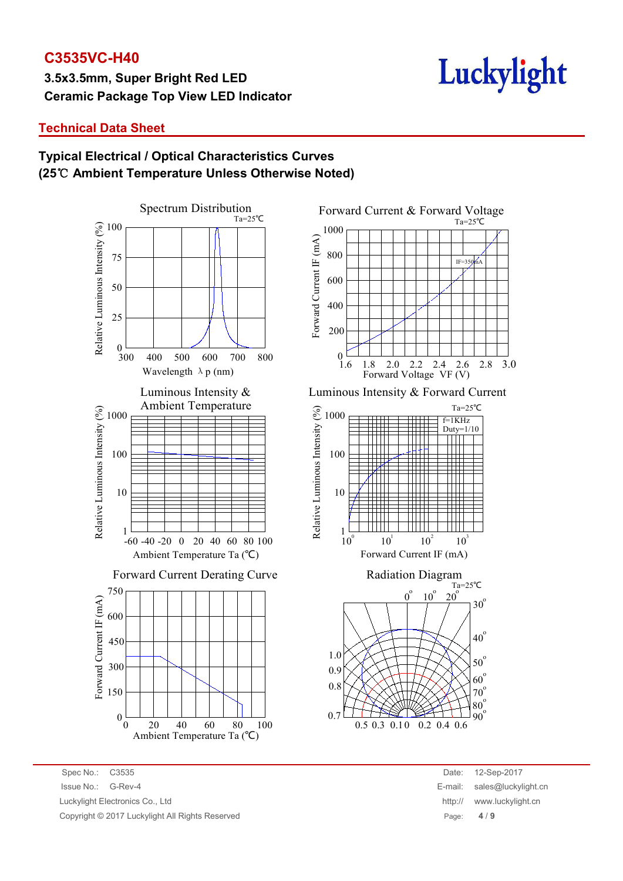**3.5x3.5mm, Super Bright Red LED Ceramic Package Top View LED Indicator**

# Luckylight

#### **Technical Data Sheet**

### **Typical Electrical / Optical Characteristics Curves (25**℃ **Ambient Temperature Unless Otherwise Noted)**





Luminous Intensity & Forward Current





| Date:   | 12-Sep-2017         |
|---------|---------------------|
| E-mail: | sales@luckylight.cn |
| http:// | www.luckylight.cn   |
| Page:   | 4/9                 |

Spec No.: C3535 Date: 12-Sep-2017 Issue No.: G-Rev-4 E-mail: sales@luckylight.cn Luckylight Electronics Co., Ltd Copyright © 2017 Luckylight All Rights Reserved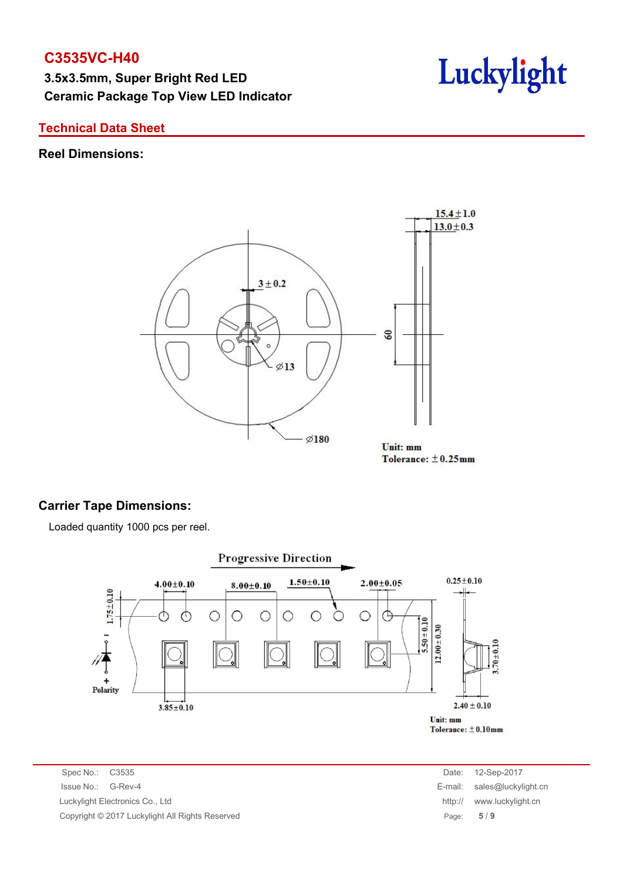**3.5x3.5mm, Super Bright Red LED Ceramic Package Top View LED Indicator**



#### **Technical Data Sheet**

#### **Reel Dimensions:**



# Tolerance:  $\pm$ 0.25mm

#### **Carrier Tape Dimensions:**

Loaded quantity 1000 pcs per reel.



Spec No.: C3535 Issue No.: G-Rev-4 Luckylight Electronics Co., Ltd. Copyright © 2017 Luckylight All Rights Reserved

| Date:   | 12-Sep-2017         |
|---------|---------------------|
| E-mail: | sales@luckylight.cn |
| http:// | www.luckylight.cn   |
| Page:   | 5/9                 |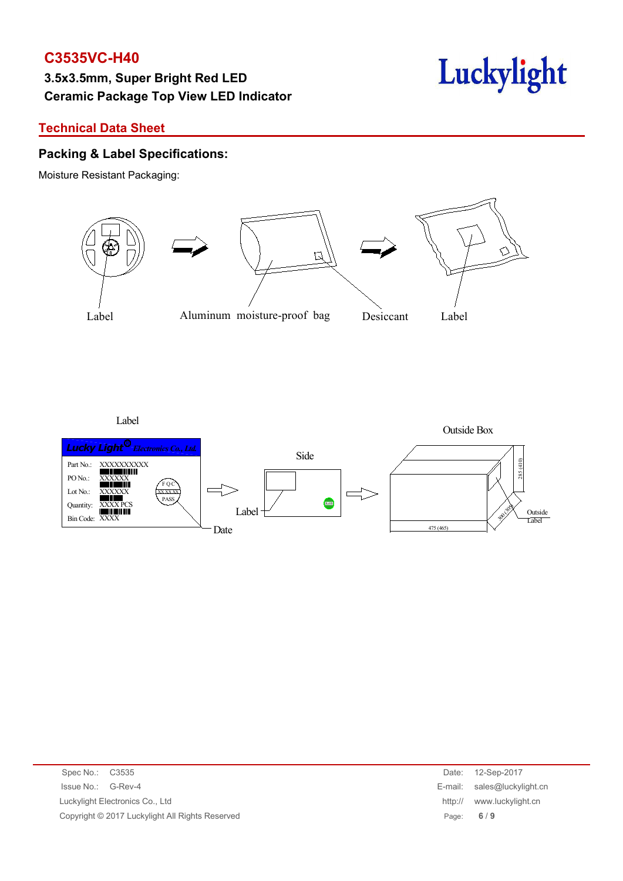# **3.5x3.5mm, Super Bright Red LED Ceramic Package Top View LED Indicator**



#### **Technical Data Sheet**

#### **Packing & Label Specifications:**

Moisture Resistant Packaging:



Label



| Spec No.: C3535                                 | Date:   | 12-Sep-2017                 |
|-------------------------------------------------|---------|-----------------------------|
| Issue No.: G-Rev-4                              |         | E-mail: sales@luckylight.cn |
| Luckylight Electronics Co., Ltd                 | http:// | www.luckylight.cn           |
| Copyright © 2017 Luckylight All Rights Reserved |         | Page: $6/9$                 |
|                                                 |         |                             |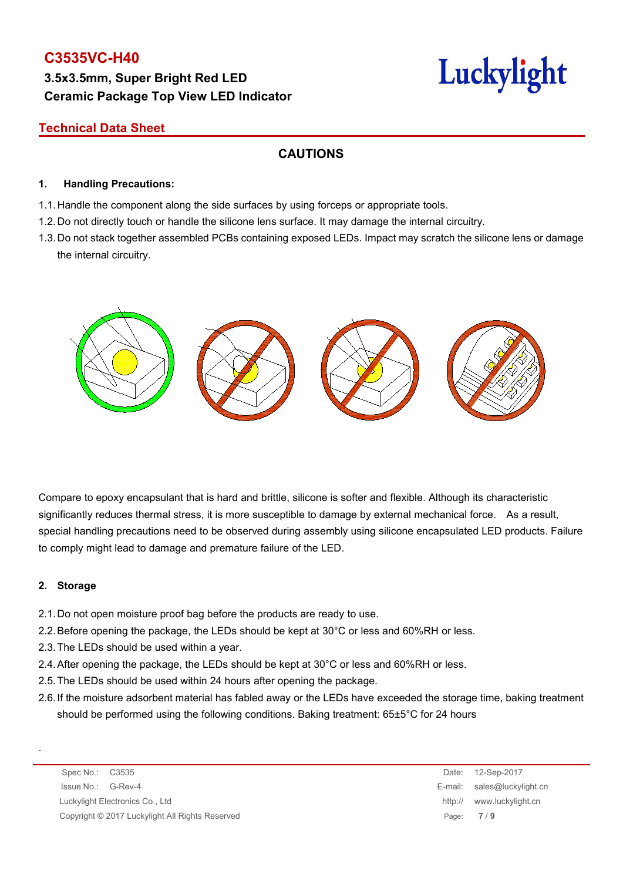# **3.5x3.5mm, Super Bright Red LED Ceramic Package Top View LED Indicator**

# Luckylight

### **Technical Data Sheet**

## **CAUTIONS**

#### **1. Handling Precautions:**

- 1.1. Handle the component along the side surfaces by using forceps or appropriate tools.
- 1.2. Do not directly touch or handle the silicone lens surface. It may damage the internal circuitry.
- 1.3. Do not stack together assembled PCBs containing exposed LEDs. Impact may scratch the silicone lens or damage the internal circuitry.



Compare to epoxy encapsulant that is hard and brittle, silicone is softer and flexible. Although its characteristic significantly reduces thermal stress, it is more susceptible to damage by external mechanical force. As a result, special handling precautions need to be observed during assembly using silicone encapsulated LED products. Failure to comply might lead to damage and premature failure of the LED.

#### **2. Storage**

.

- 2.1.Do not open moisture proof bag before the products are ready to use.
- 2.2.Before opening the package, the LEDs should be kept at 30°C or less and 60%RH or less.
- 2.3.The LEDs should be used within a year.
- 2.4.After opening the package, the LEDs should be kept at 30°C or less and 60%RH or less.
- 2.5.The LEDs should be used within 24 hours after opening the package.
- 2.6.If the moisture adsorbent material has fabled away or the LEDs have exceeded the storage time, baking treatment should be performed using the following conditions. Baking treatment: 65±5°C for 24 hours

Spec No.: C3535 Date: 12-Sep-2017 Issue No.: G-Rev-4 E-mail: sales@luckylight.cn Luckylight Electronics Co., Ltd **http:// www.luckylight.cn** http:// www.luckylight.cn Copyright © 2017 Luckylight All Rights Reserved Page: **7** / **9**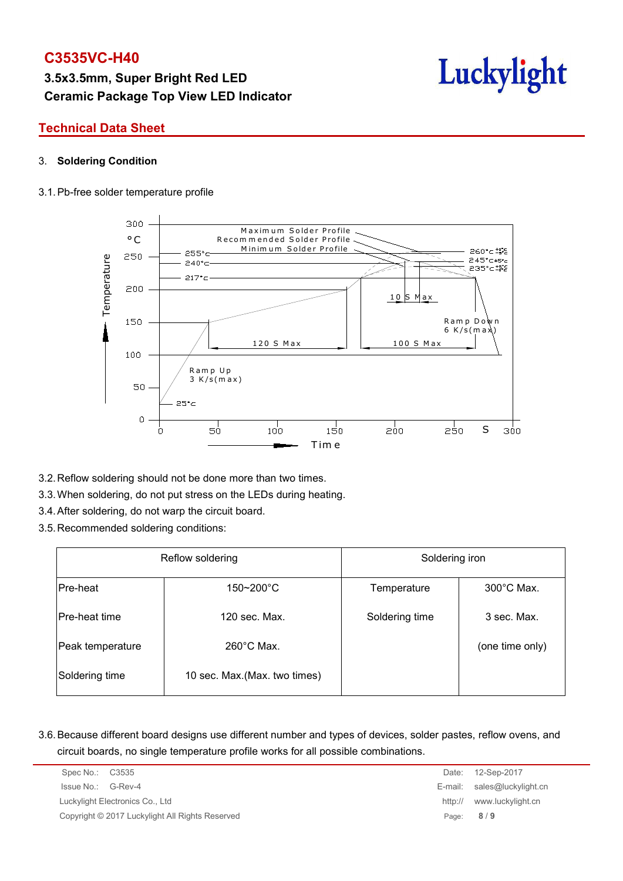# **3.5x3.5mm, Super Bright Red LED Ceramic Package Top View LED Indicator**



#### **Technical Data Sheet**

#### 3. **Soldering Condition**

#### 3.1.Pb-free solder temperature profile



- 3.2.Reflow soldering should not be done more than two times.
- 3.3.When soldering, do not put stress on the LEDs during heating.
- 3.4.After soldering, do not warp the circuit board.
- 3.5.Recommended soldering conditions:

| Reflow soldering     |                               | Soldering iron |                      |  |  |
|----------------------|-------------------------------|----------------|----------------------|--|--|
| Pre-heat             | $150 - 200$ °C                | Temperature    | $300^{\circ}$ C Max. |  |  |
| <b>Pre-heat time</b> | 120 sec. Max.                 | Soldering time | 3 sec. Max.          |  |  |
| Peak temperature     | $260^{\circ}$ C Max.          |                | (one time only)      |  |  |
| Soldering time       | 10 sec. Max. (Max. two times) |                |                      |  |  |

3.6.Because different board designs use different number and types of devices, solder pastes, reflow ovens, and circuit boards, no single temperature profile works for all possible combinations.

| Spec No.: C3535                                 | Date:   | 12-Sep-2017                 |
|-------------------------------------------------|---------|-----------------------------|
| Issue No.: G-Rev-4                              |         | E-mail: sales@luckylight.cn |
| Luckylight Electronics Co., Ltd                 | http:// | www.luckylight.cn           |
| Copyright © 2017 Luckylight All Rights Reserved |         | Page: $8/9$                 |